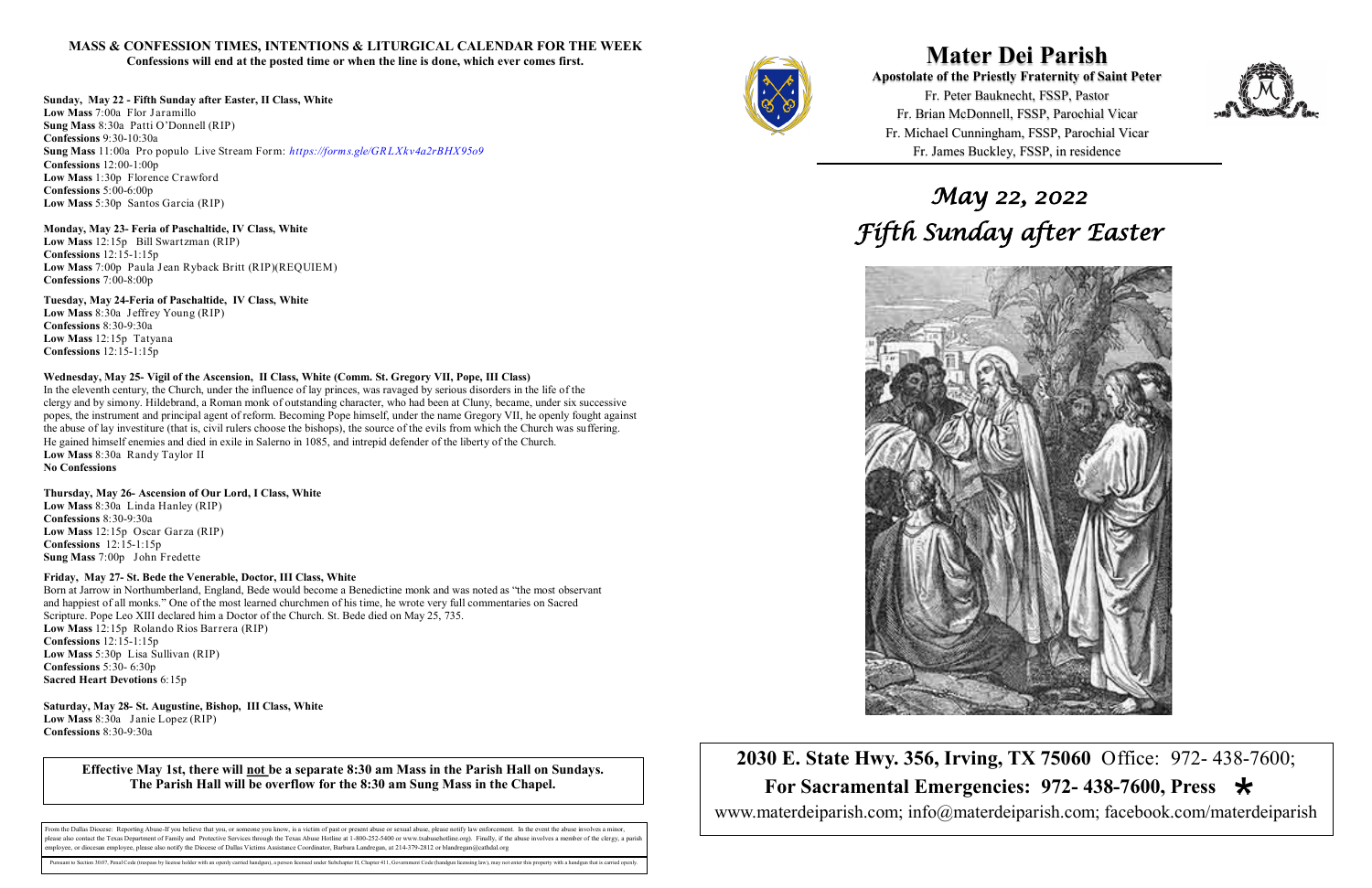**Mater Dei Parish Apostolate of the Priestly Fraternity of Saint Peter**  Fr. Peter Bauknecht, FSSP, Pastor Fr. Brian McDonnell, FSSP, Parochial Vicar Fr. Michael Cunningham, FSSP, Parochial Vicar Fr. James Buckley, FSSP, in residence

**2030 E. State Hwy. 356, Irving, TX 75060** Office: 972- 438-7600;  **For Sacramental Emergencies: 972- 438-7600, Press**  www.materdeiparish.com; info@materdeiparish.com; facebook.com/materdeiparish



## **MASS & CONFESSION TIMES, INTENTIONS & LITURGICAL CALENDAR FOR THE WEEK**

**Confessions will end at the posted time or when the line is done, which ever comes first.**

## **Sunday, May 22 - Fifth Sunday after Easter, II Class, White**

**Low Mass** 7:00a Flor Jaramillo **Sung Mass** 8:30a Patti O'Donnell (RIP) **Confessions** 9:30-10:30a **Sung Mass** 11:00a Pro populo Live Stream Form: *https://forms.gle/GR LXkv4a2rBHX95o9* **Confessions** 12:00-1:00p **Low Mass** 1:30p Florence Crawford **Confessions** 5:00-6:00p **Low Mass** 5:30p Santos Garcia (RIP)

## **Monday, May 23- Feria of Paschaltide, IV Class, White**

**Low Mass** 12:15p Bill Swartzman (RIP) **Confessions** 12:15-1:15p **Low Mass** 7:00p Paula Jean Ryback Britt (RIP)(REQUIEM) **Confessions** 7:00-8:00p

## **Tuesday, May 24-Feria of Paschaltide, IV Class, White**

**Low Mass** 8:30a Jeffrey Young (RIP) **Confessions** 8:30-9:30a **Low Mass** 12:15p Tatyana **Confessions** 12:15-1:15p

## **Wednesday, May 25- Vigil of the Ascension, II Class, White (Comm. St. Gregory VII, Pope, III Class)**

In the eleventh century, the Church, under the influence of lay princes, was ravaged by serious disorders in the life of the clergy and by simony. Hildebrand, a Roman monk of outstanding character, who had been at Cluny, became, under six successive popes, the instrument and principal agent of reform. Becoming Pope himself, under the name Gregory VII, he openly fought against the abuse of lay investiture (that is, civil rulers choose the bishops), the source of the evils from which the Church was suffering. He gained himself enemies and died in exile in Salerno in 1085, and intrepid defender of the liberty of the Church. **Low Mass** 8:30a Randy Taylor II **No Confessions** 

## **Thursday, May 26- Ascension of Our Lord, I Class, White**

**Low Mass** 8:30a Linda Hanley (RIP) **Confessions** 8:30-9:30a **Low Mass** 12:15p Oscar Garza (RIP) **Confessions** 12:15-1:15p **Sung Mass** 7:00p John Fredette

## **Friday, May 27- St. Bede the Venerable, Doctor, III Class, White**

Born at Jarrow in Northumberland, England, Bede would become a Benedictine monk and was noted as "the most observant and happiest of all monks." One of the most learned churchmen of his time, he wrote very full commentaries on Sacred Scripture. Pope Leo XIII declared him a Doctor of the Church. St. Bede died on May 25, 735. **Low Mass** 12:15p Rolando Rios Barrera (RIP) **Confessions** 12:15-1:15p **Low Mass** 5:30p Lisa Sullivan (RIP) **Confessions** 5:30- 6:30p **Sacred Heart Devotions** 6:15p

**Saturday, May 28- St. Augustine, Bishop, III Class, White Low Mass** 8:30a Janie Lopez (RIP) **Confessions** 8:30-9:30a

# *May 22, 2022 Fifth Sunday after Easter*



**Effective May 1st, there will not be a separate 8:30 am Mass in the Parish Hall on Sundays. The Parish Hall will be overflow for the 8:30 am Sung Mass in the Chapel.**

From the Dallas Diocese: Reporting Abuse-If you believe that you, or someone you know, is a victim of past or present abuse or sexual abuse, please notify law enforcement. In the event the abuse involves a minor blease also contact the Texas Department of Family and Protective Services through the Texas Abuse Hotline at 1-800-252-5400 or www.txabusehotline.org). Finally, if the abuse involves a member of the clergy, a paris employee, or diocesan employee, please also notify the Diocese of Dallas Victims Assistance Coordinator, Barbara Landregan, at 214-379-2812 or blandregan@cathdal.org

suant to Section 30.07, Penal Code (trespass by license holder with an openly carried handgun), a person licensed under Subchapter H, Chapter 411, Government Code (handgun licensing law), may not enter this property with a